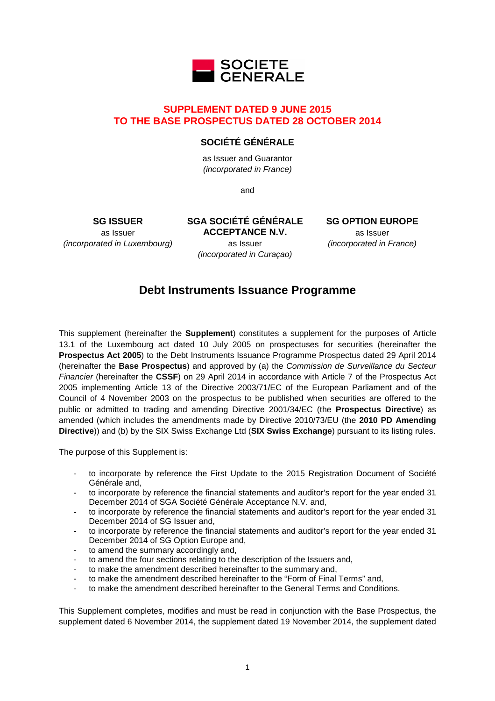

# **SUPPLEMENT DATED 9 JUNE 2015 TO THE BASE PROSPECTUS DATED 28 OCTOBER 2014**

# **SOCIÉTÉ GÉNÉRALE**

as Issuer and Guarantor (incorporated in France)

and

**SGA SOCIÉTÉ GÉNÉRALE** 

**SG ISSUER** as Issuer (incorporated in Luxembourg)

**ACCEPTANCE N.V.** as Issuer (incorporated in Curaçao) **SG OPTION EUROPE** as Issuer (incorporated in France)

# **Debt Instruments Issuance Programme**

This supplement (hereinafter the **Supplement**) constitutes a supplement for the purposes of Article 13.1 of the Luxembourg act dated 10 July 2005 on prospectuses for securities (hereinafter the **Prospectus Act 2005**) to the Debt Instruments Issuance Programme Prospectus dated 29 April 2014 (hereinafter the **Base Prospectus**) and approved by (a) the Commission de Surveillance du Secteur Financier (hereinafter the **CSSF**) on 29 April 2014 in accordance with Article 7 of the Prospectus Act 2005 implementing Article 13 of the Directive 2003/71/EC of the European Parliament and of the Council of 4 November 2003 on the prospectus to be published when securities are offered to the public or admitted to trading and amending Directive 2001/34/EC (the **Prospectus Directive**) as amended (which includes the amendments made by Directive 2010/73/EU (the **2010 PD Amending Directive**)) and (b) by the SIX Swiss Exchange Ltd (**SIX Swiss Exchange**) pursuant to its listing rules.

The purpose of this Supplement is:

- to incorporate by reference the First Update to the 2015 Registration Document of Société Générale and,
- to incorporate by reference the financial statements and auditor's report for the year ended 31 December 2014 of SGA Société Générale Acceptance N.V. and,
- to incorporate by reference the financial statements and auditor's report for the year ended 31 December 2014 of SG Issuer and,
- to incorporate by reference the financial statements and auditor's report for the year ended 31 December 2014 of SG Option Europe and,
- to amend the summary accordingly and,
- to amend the four sections relating to the description of the Issuers and,
- to make the amendment described hereinafter to the summary and,
- to make the amendment described hereinafter to the "Form of Final Terms" and,
- to make the amendment described hereinafter to the General Terms and Conditions.

This Supplement completes, modifies and must be read in conjunction with the Base Prospectus, the supplement dated 6 November 2014, the supplement dated 19 November 2014, the supplement dated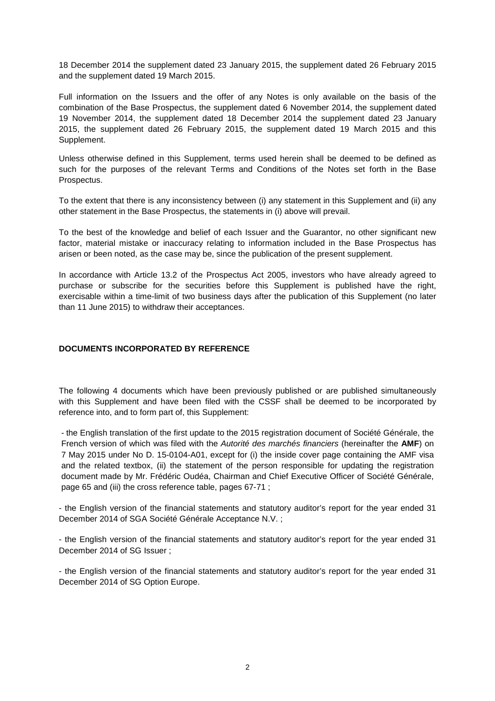18 December 2014 the supplement dated 23 January 2015, the supplement dated 26 February 2015 and the supplement dated 19 March 2015.

Full information on the Issuers and the offer of any Notes is only available on the basis of the combination of the Base Prospectus, the supplement dated 6 November 2014, the supplement dated 19 November 2014, the supplement dated 18 December 2014 the supplement dated 23 January 2015, the supplement dated 26 February 2015, the supplement dated 19 March 2015 and this Supplement.

Unless otherwise defined in this Supplement, terms used herein shall be deemed to be defined as such for the purposes of the relevant Terms and Conditions of the Notes set forth in the Base Prospectus.

To the extent that there is any inconsistency between (i) any statement in this Supplement and (ii) any other statement in the Base Prospectus, the statements in (i) above will prevail.

To the best of the knowledge and belief of each Issuer and the Guarantor, no other significant new factor, material mistake or inaccuracy relating to information included in the Base Prospectus has arisen or been noted, as the case may be, since the publication of the present supplement.

In accordance with Article 13.2 of the Prospectus Act 2005, investors who have already agreed to purchase or subscribe for the securities before this Supplement is published have the right, exercisable within a time-limit of two business days after the publication of this Supplement (no later than 11 June 2015) to withdraw their acceptances.

### **DOCUMENTS INCORPORATED BY REFERENCE**

The following 4 documents which have been previously published or are published simultaneously with this Supplement and have been filed with the CSSF shall be deemed to be incorporated by reference into, and to form part of, this Supplement:

- the English translation of the first update to the 2015 registration document of Société Générale, the French version of which was filed with the Autorité des marchés financiers (hereinafter the **AMF**) on 7 May 2015 under No D. 15-0104-A01, except for (i) the inside cover page containing the AMF visa and the related textbox, (ii) the statement of the person responsible for updating the registration document made by Mr. Frédéric Oudéa, Chairman and Chief Executive Officer of Société Générale, page 65 and (iii) the cross reference table, pages 67-71 ;

- the English version of the financial statements and statutory auditor's report for the year ended 31 December 2014 of SGA Société Générale Acceptance N.V. ;

- the English version of the financial statements and statutory auditor's report for the year ended 31 December 2014 of SG Issuer ;

- the English version of the financial statements and statutory auditor's report for the year ended 31 December 2014 of SG Option Europe.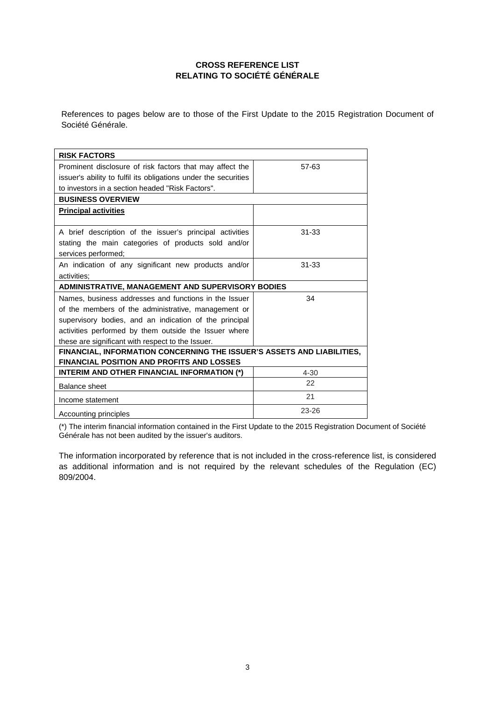# **CROSS REFERENCE LIST RELATING TO SOCIÉTÉ GÉNÉRALE**

References to pages below are to those of the First Update to the 2015 Registration Document of Société Générale.

| <b>RISK FACTORS</b>                                                                                                                    |           |  |
|----------------------------------------------------------------------------------------------------------------------------------------|-----------|--|
| Prominent disclosure of risk factors that may affect the                                                                               | 57-63     |  |
| issuer's ability to fulfil its obligations under the securities                                                                        |           |  |
| to investors in a section headed "Risk Factors".                                                                                       |           |  |
| <b>BUSINESS OVERVIEW</b>                                                                                                               |           |  |
| <b>Principal activities</b>                                                                                                            |           |  |
| A brief description of the issuer's principal activities<br>stating the main categories of products sold and/or<br>services performed; | $31 - 33$ |  |
| An indication of any significant new products and/or<br>activities:                                                                    | $31 - 33$ |  |
| <b>ADMINISTRATIVE, MANAGEMENT AND SUPERVISORY BODIES</b>                                                                               |           |  |
| Names, business addresses and functions in the Issuer                                                                                  | 34        |  |
| of the members of the administrative, management or                                                                                    |           |  |
| supervisory bodies, and an indication of the principal                                                                                 |           |  |
| activities performed by them outside the Issuer where                                                                                  |           |  |
| these are significant with respect to the Issuer.                                                                                      |           |  |
| FINANCIAL, INFORMATION CONCERNING THE ISSUER'S ASSETS AND LIABILITIES,<br><b>FINANCIAL POSITION AND PROFITS AND LOSSES</b>             |           |  |
| INTERIM AND OTHER FINANCIAL INFORMATION (*)                                                                                            | $4 - 30$  |  |
| <b>Balance sheet</b>                                                                                                                   | 22        |  |
|                                                                                                                                        | 21        |  |
| Income statement                                                                                                                       |           |  |

(\*) The interim financial information contained in the First Update to the 2015 Registration Document of Société Générale has not been audited by the issuer's auditors.

The information incorporated by reference that is not included in the cross-reference list, is considered as additional information and is not required by the relevant schedules of the Regulation (EC) 809/2004.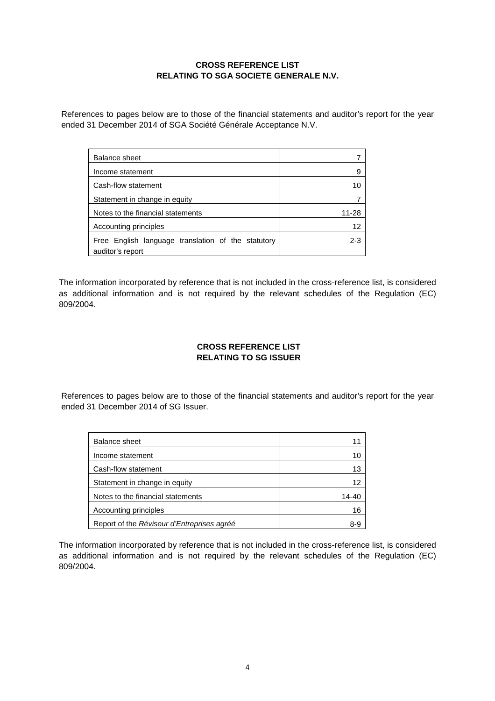# **CROSS REFERENCE LIST RELATING TO SGA SOCIETE GENERALE N.V.**

References to pages below are to those of the financial statements and auditor's report for the year ended 31 December 2014 of SGA Société Générale Acceptance N.V.

| <b>Balance sheet</b>                               |         |
|----------------------------------------------------|---------|
| Income statement                                   | 9       |
| Cash-flow statement                                | 10      |
| Statement in change in equity                      |         |
| Notes to the financial statements                  | 11-28   |
| Accounting principles                              | 12      |
| Free English language translation of the statutory | $2 - 3$ |
| auditor's report                                   |         |

The information incorporated by reference that is not included in the cross-reference list, is considered as additional information and is not required by the relevant schedules of the Regulation (EC) 809/2004.

# **CROSS REFERENCE LIST RELATING TO SG ISSUER**

References to pages below are to those of the financial statements and auditor's report for the year ended 31 December 2014 of SG Issuer.

| Balance sheet                              | 11    |
|--------------------------------------------|-------|
| Income statement                           | 10    |
| Cash-flow statement                        | 13    |
| Statement in change in equity              | 12    |
| Notes to the financial statements          | 14-40 |
| Accounting principles                      | 16    |
| Report of the Réviseur d'Entreprises agréé | 8-9   |

The information incorporated by reference that is not included in the cross-reference list, is considered as additional information and is not required by the relevant schedules of the Regulation (EC) 809/2004.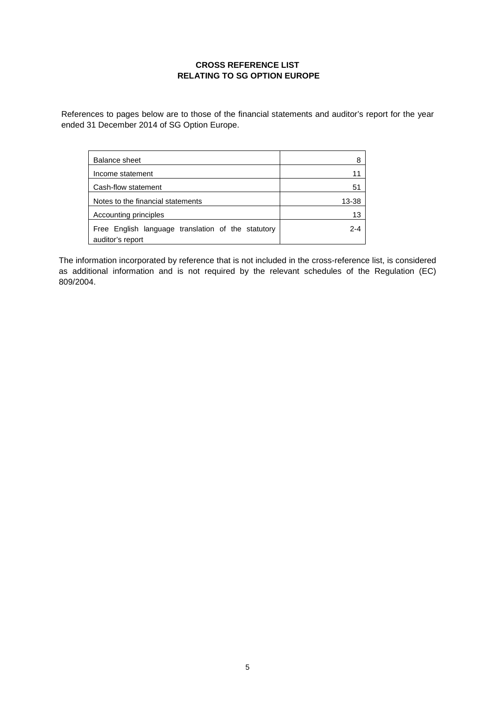# **CROSS REFERENCE LIST RELATING TO SG OPTION EUROPE**

References to pages below are to those of the financial statements and auditor's report for the year ended 31 December 2014 of SG Option Europe.

| Balance sheet                                                          | 8       |
|------------------------------------------------------------------------|---------|
| Income statement                                                       | 11      |
| Cash-flow statement                                                    | 51      |
| Notes to the financial statements                                      | 13-38   |
| Accounting principles                                                  | 13      |
| Free English language translation of the statutory<br>auditor's report | $2 - 4$ |

The information incorporated by reference that is not included in the cross-reference list, is considered as additional information and is not required by the relevant schedules of the Regulation (EC) 809/2004.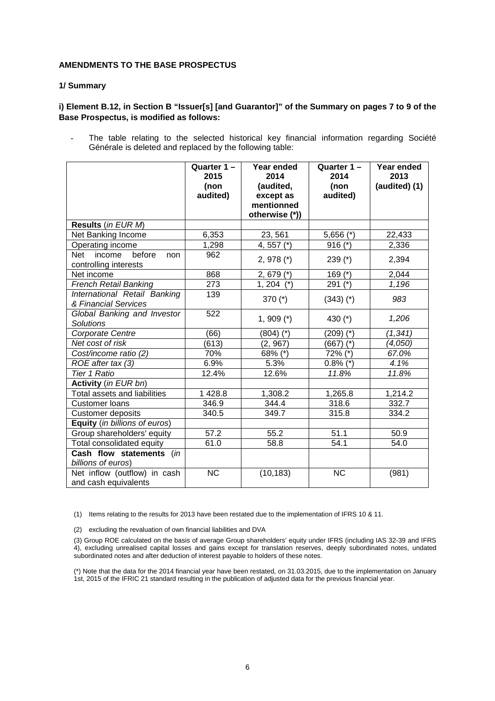### **AMENDMENTS TO THE BASE PROSPECTUS**

#### **1/ Summary**

# **i) Element B.12, in Section B "Issuer[s] [and Guarantor]" of the Summary on pages 7 to 9 of the Base Prospectus, is modified as follows:**

The table relating to the selected historical key financial information regarding Société Générale is deleted and replaced by the following table:

|                                     | Quarter $1 -$<br>2015 | Year ended<br>2014 | Quarter 1-<br>2014 | Year ended<br>2013 |
|-------------------------------------|-----------------------|--------------------|--------------------|--------------------|
|                                     | (non                  | (audited,          | (non               | (audited) (1)      |
|                                     | audited)              | except as          | audited)           |                    |
|                                     |                       | mentionned         |                    |                    |
|                                     |                       | otherwise (*))     |                    |                    |
| Results (in EUR M)                  |                       |                    |                    |                    |
| Net Banking Income                  | 6,353                 | 23, 561            | $5,656$ (*)        | 22,433             |
| Operating income                    | 1,298                 | 4, 557 (*)         | $916$ (*)          | 2,336              |
| before<br>income<br>Net<br>non      | 962                   | $2,978$ (*)        | 239 $(*)$          | 2,394              |
| controlling interests               |                       |                    |                    |                    |
| Net income                          | 868                   | $2,679 (*)$        | 169 $(*)$          | 2,044              |
| <b>French Retail Banking</b>        | 273                   | $1, 204$ (*)       | 291 $(*)$          | 1,196              |
| <b>International Retail Banking</b> | 139                   | 370 $(*)$          | $(343)$ $(*)$      | 983                |
| & Financial Services                |                       |                    |                    |                    |
| Global Banking and Investor         | 522                   | $1,909$ (*)        | 430 (*)            | 1,206              |
| <b>Solutions</b>                    |                       |                    |                    |                    |
| Corporate Centre                    | (66)                  | $(804)$ $(*)$      | (209) (*)          | (1, 341)           |
| Net cost of risk                    | (613)                 | (2, 967)           | $(667)$ (*)        | (4,050)            |
| Cost/income ratio (2)               | 70%                   | 68% (*)            | 72% (*)            | 67.0%              |
| ROE after tax (3)                   | 6.9%                  | 5.3%               | $0.8\%$ (*)        | 4.1%               |
| <b>Tier 1 Ratio</b>                 | 12.4%                 | 12.6%              | 11.8%              | 11.8%              |
| Activity (in EUR bn)                |                       |                    |                    |                    |
| Total assets and liabilities        | 1428.8                | 1,308.2            | 1,265.8            | 1,214.2            |
| <b>Customer loans</b>               | 346.9                 | 344.4              | 318.6              | 332.7              |
| <b>Customer deposits</b>            | 340.5                 | 349.7              | 315.8              | 334.2              |
| Equity (in billions of euros)       |                       |                    |                    |                    |
| Group shareholders' equity          | 57.2                  | 55.2               | 51.1               | 50.9               |
| Total consolidated equity           | 61.0                  | 58.8               | 54.1               | 54.0               |
| Cash flow statements (in            |                       |                    |                    |                    |
| billions of euros)                  |                       |                    |                    |                    |
| Net inflow (outflow) in cash        | <b>NC</b>             | (10, 183)          | <b>NC</b>          | (981)              |
| and cash equivalents                |                       |                    |                    |                    |

(1) Items relating to the results for 2013 have been restated due to the implementation of IFRS 10 & 11.

(2) excluding the revaluation of own financial liabilities and DVA

(3) Group ROE calculated on the basis of average Group shareholders' equity under IFRS (including IAS 32-39 and IFRS 4), excluding unrealised capital losses and gains except for translation reserves, deeply subordinated notes, undated subordinated notes and after deduction of interest payable to holders of these notes.

(\*) Note that the data for the 2014 financial year have been restated, on 31.03.2015, due to the implementation on January 1st, 2015 of the IFRIC 21 standard resulting in the publication of adjusted data for the previous financial year.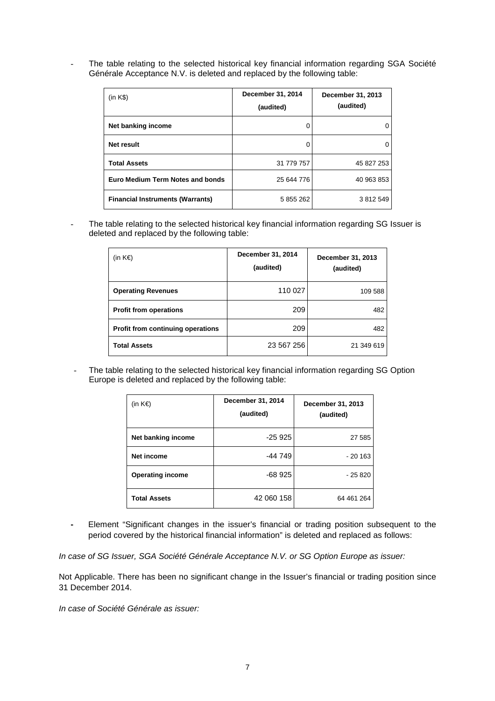The table relating to the selected historical key financial information regarding SGA Société Générale Acceptance N.V. is deleted and replaced by the following table:

| (in K\$)                                | December 31, 2014<br>(audited) | December 31, 2013<br>(audited) |
|-----------------------------------------|--------------------------------|--------------------------------|
| Net banking income                      |                                | 0                              |
| Net result                              |                                | 0                              |
| <b>Total Assets</b>                     | 31 779 757                     | 45 827 253                     |
| Euro Medium Term Notes and bonds        | 25 644 776                     | 40 963 853                     |
| <b>Financial Instruments (Warrants)</b> | 5 855 262                      | 3 812 549                      |

The table relating to the selected historical key financial information regarding SG Issuer is deleted and replaced by the following table:

| (in $K \in \mathbb{R}$ )                 | December 31, 2014<br>(audited) | December 31, 2013<br>(audited) |
|------------------------------------------|--------------------------------|--------------------------------|
| <b>Operating Revenues</b>                | 110 027                        | 109 588                        |
| <b>Profit from operations</b>            | 209                            | 482                            |
| <b>Profit from continuing operations</b> | 209                            | 482                            |
| <b>Total Assets</b>                      | 23 567 256                     | 21 349 619                     |

- The table relating to the selected historical key financial information regarding SG Option Europe is deleted and replaced by the following table:

| (in $K \in \mathbb{R}$ ) | December 31, 2014<br>(audited) | December 31, 2013<br>(audited) |
|--------------------------|--------------------------------|--------------------------------|
| Net banking income       | $-25925$                       | 27 585                         |
| Net income               | -44 749                        | $-20163$                       |
| <b>Operating income</b>  | $-68925$                       | - 25 820                       |
| <b>Total Assets</b>      | 42 060 158                     | 64 461 264                     |

**-** Element "Significant changes in the issuer's financial or trading position subsequent to the period covered by the historical financial information" is deleted and replaced as follows:

In case of SG Issuer, SGA Société Générale Acceptance N.V. or SG Option Europe as issuer:

Not Applicable. There has been no significant change in the Issuer's financial or trading position since 31 December 2014.

In case of Société Générale as issuer: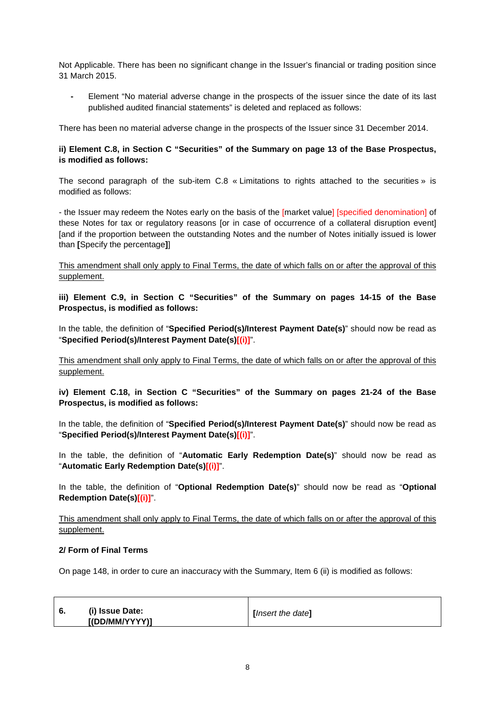Not Applicable. There has been no significant change in the Issuer's financial or trading position since 31 March 2015.

**-** Element "No material adverse change in the prospects of the issuer since the date of its last published audited financial statements" is deleted and replaced as follows:

There has been no material adverse change in the prospects of the Issuer since 31 December 2014.

# **ii) Element C.8, in Section C "Securities" of the Summary on page 13 of the Base Prospectus, is modified as follows:**

The second paragraph of the sub-item C.8 « Limitations to rights attached to the securities » is modified as follows:

- the Issuer may redeem the Notes early on the basis of the [market value] [specified denomination] of these Notes for tax or regulatory reasons [or in case of occurrence of a collateral disruption event] [and if the proportion between the outstanding Notes and the number of Notes initially issued is lower than **[**Specify the percentage**]**]

This amendment shall only apply to Final Terms, the date of which falls on or after the approval of this supplement.

**iii) Element C.9, in Section C "Securities" of the Summary on pages 14-15 of the Base Prospectus, is modified as follows:** 

In the table, the definition of "**Specified Period(s)/Interest Payment Date(s)**" should now be read as "**Specified Period(s)/Interest Payment Date(s)[(i)]**".

This amendment shall only apply to Final Terms, the date of which falls on or after the approval of this supplement.

**iv) Element C.18, in Section C "Securities" of the Summary on pages 21-24 of the Base Prospectus, is modified as follows:** 

In the table, the definition of "**Specified Period(s)/Interest Payment Date(s)**" should now be read as "**Specified Period(s)/Interest Payment Date(s)[(i)]**".

In the table, the definition of "**Automatic Early Redemption Date(s)**" should now be read as "**Automatic Early Redemption Date(s)[(i)]**".

In the table, the definition of "**Optional Redemption Date(s)**" should now be read as "**Optional Redemption Date(s)[(i)]**".

This amendment shall only apply to Final Terms, the date of which falls on or after the approval of this supplement.

### **2/ Form of Final Terms**

On page 148, in order to cure an inaccuracy with the Summary, Item 6 (ii) is modified as follows:

| - 6. | (i) Issue Date: | [Insert the date] |
|------|-----------------|-------------------|
|      | [(DD/MM/YYYY)]  |                   |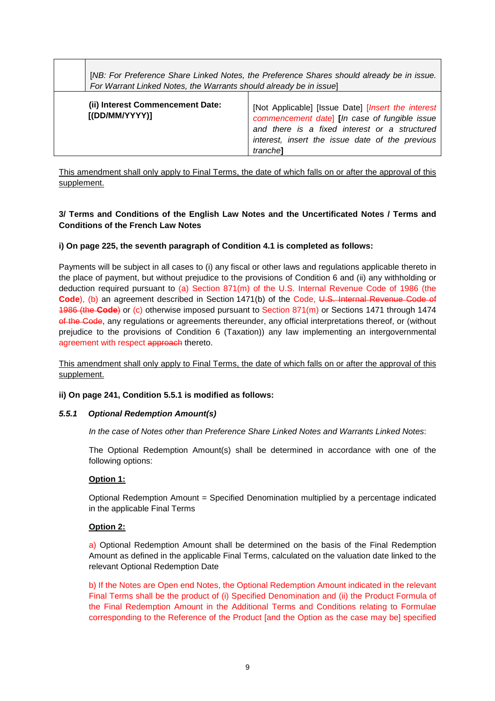|                                                     | [NB: For Preference Share Linked Notes, the Preference Shares should already be in issue.<br>For Warrant Linked Notes, the Warrants should already be in issue]                                                                       |  |  |
|-----------------------------------------------------|---------------------------------------------------------------------------------------------------------------------------------------------------------------------------------------------------------------------------------------|--|--|
| (ii) Interest Commencement Date:<br>[ (DD/MM/YYYY)] | [Not Applicable] [Issue Date] <i>[Insert the interest</i><br>commencement date [In case of fungible issue<br>and there is a fixed interest or a structured<br>interest, insert the issue date of the previous<br>tranche <sup>1</sup> |  |  |

This amendment shall only apply to Final Terms, the date of which falls on or after the approval of this supplement.

# **3/ Terms and Conditions of the English Law Notes and the Uncertificated Notes / Terms and Conditions of the French Law Notes**

# **i) On page 225, the seventh paragraph of Condition 4.1 is completed as follows:**

Payments will be subject in all cases to (i) any fiscal or other laws and regulations applicable thereto in the place of payment, but without prejudice to the provisions of Condition 6 and (ii) any withholding or deduction required pursuant to (a) Section 871(m) of the U.S. Internal Revenue Code of 1986 (the Code), (b) an agreement described in Section 1471(b) of the Code, U.S. Internal Revenue Code of 1986 (the **Code**) or (c) otherwise imposed pursuant to Section 871(m) or Sections 1471 through 1474 of the Code, any regulations or agreements thereunder, any official interpretations thereof, or (without prejudice to the provisions of Condition 6 (Taxation)) any law implementing an intergovernmental agreement with respect approach thereto.

This amendment shall only apply to Final Terms, the date of which falls on or after the approval of this supplement.

### **ii) On page 241, Condition 5.5.1 is modified as follows:**

### **5.5.1 Optional Redemption Amount(s)**

In the case of Notes other than Preference Share Linked Notes and Warrants Linked Notes:

The Optional Redemption Amount(s) shall be determined in accordance with one of the following options:

### **Option 1:**

Optional Redemption Amount = Specified Denomination multiplied by a percentage indicated in the applicable Final Terms

### **Option 2:**

a) Optional Redemption Amount shall be determined on the basis of the Final Redemption Amount as defined in the applicable Final Terms, calculated on the valuation date linked to the relevant Optional Redemption Date

b) If the Notes are Open end Notes, the Optional Redemption Amount indicated in the relevant Final Terms shall be the product of (i) Specified Denomination and (ii) the Product Formula of the Final Redemption Amount in the Additional Terms and Conditions relating to Formulae corresponding to the Reference of the Product [and the Option as the case may be] specified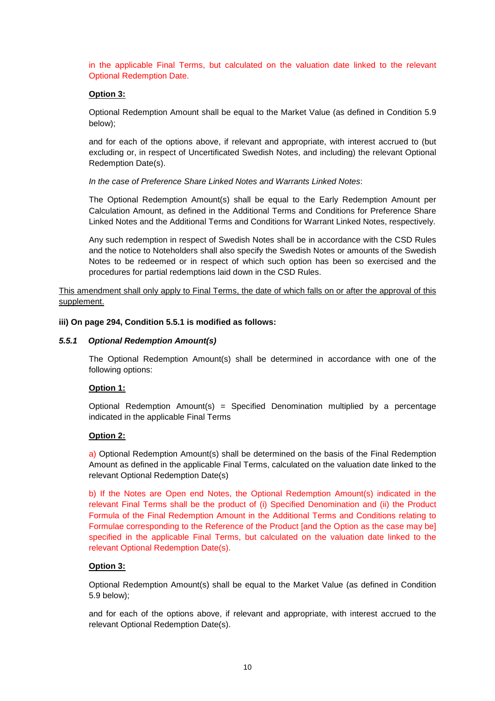in the applicable Final Terms, but calculated on the valuation date linked to the relevant Optional Redemption Date.

### **Option 3:**

Optional Redemption Amount shall be equal to the Market Value (as defined in Condition 5.9 below);

and for each of the options above, if relevant and appropriate, with interest accrued to (but excluding or, in respect of Uncertificated Swedish Notes, and including) the relevant Optional Redemption Date(s).

In the case of Preference Share Linked Notes and Warrants Linked Notes:

The Optional Redemption Amount(s) shall be equal to the Early Redemption Amount per Calculation Amount, as defined in the Additional Terms and Conditions for Preference Share Linked Notes and the Additional Terms and Conditions for Warrant Linked Notes, respectively.

Any such redemption in respect of Swedish Notes shall be in accordance with the CSD Rules and the notice to Noteholders shall also specify the Swedish Notes or amounts of the Swedish Notes to be redeemed or in respect of which such option has been so exercised and the procedures for partial redemptions laid down in the CSD Rules.

This amendment shall only apply to Final Terms, the date of which falls on or after the approval of this supplement.

### **iii) On page 294, Condition 5.5.1 is modified as follows:**

### **5.5.1 Optional Redemption Amount(s)**

The Optional Redemption Amount(s) shall be determined in accordance with one of the following options:

### **Option 1:**

Optional Redemption Amount(s) = Specified Denomination multiplied by a percentage indicated in the applicable Final Terms

### **Option 2:**

a) Optional Redemption Amount(s) shall be determined on the basis of the Final Redemption Amount as defined in the applicable Final Terms, calculated on the valuation date linked to the relevant Optional Redemption Date(s)

b) If the Notes are Open end Notes, the Optional Redemption Amount(s) indicated in the relevant Final Terms shall be the product of (i) Specified Denomination and (ii) the Product Formula of the Final Redemption Amount in the Additional Terms and Conditions relating to Formulae corresponding to the Reference of the Product [and the Option as the case may be] specified in the applicable Final Terms, but calculated on the valuation date linked to the relevant Optional Redemption Date(s).

### **Option 3:**

Optional Redemption Amount(s) shall be equal to the Market Value (as defined in Condition 5.9 below);

and for each of the options above, if relevant and appropriate, with interest accrued to the relevant Optional Redemption Date(s).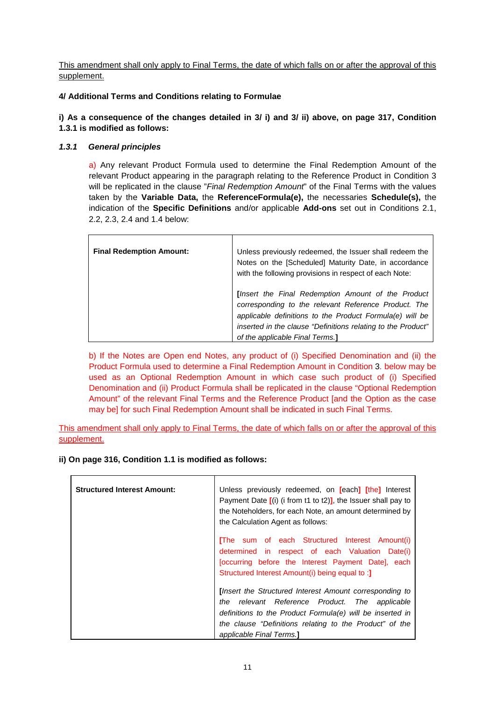This amendment shall only apply to Final Terms, the date of which falls on or after the approval of this supplement.

# **4/ Additional Terms and Conditions relating to Formulae**

### **i) As a consequence of the changes detailed in 3/ i) and 3/ ii) above, on page 317, Condition 1.3.1 is modified as follows:**

# **1.3.1 General principles**

a) Any relevant Product Formula used to determine the Final Redemption Amount of the relevant Product appearing in the paragraph relating to the Reference Product in Condition 3 will be replicated in the clause "Final Redemption Amount" of the Final Terms with the values taken by the **Variable Data,** the **ReferenceFormula(e),** the necessaries **Schedule(s),** the indication of the **Specific Definitions** and/or applicable **Add-ons** set out in Conditions 2.1, 2.2, 2.3, 2.4 and 1.4 below:

| <b>Final Redemption Amount:</b> | Unless previously redeemed, the Issuer shall redeem the<br>Notes on the [Scheduled] Maturity Date, in accordance<br>with the following provisions in respect of each Note:                                                                                               |
|---------------------------------|--------------------------------------------------------------------------------------------------------------------------------------------------------------------------------------------------------------------------------------------------------------------------|
|                                 | [Insert the Final Redemption Amount of the Product<br>corresponding to the relevant Reference Product. The<br>applicable definitions to the Product Formula(e) will be<br>inserted in the clause "Definitions relating to the Product"<br>of the applicable Final Terms. |

b) If the Notes are Open end Notes, any product of (i) Specified Denomination and (ii) the Product Formula used to determine a Final Redemption Amount in Condition 3. below may be used as an Optional Redemption Amount in which case such product of (i) Specified Denomination and (ii) Product Formula shall be replicated in the clause "Optional Redemption Amount" of the relevant Final Terms and the Reference Product [and the Option as the case may be] for such Final Redemption Amount shall be indicated in such Final Terms.

This amendment shall only apply to Final Terms, the date of which falls on or after the approval of this supplement.

### **ii) On page 316, Condition 1.1 is modified as follows:**

| <b>Structured Interest Amount:</b> | Unless previously redeemed, on [each] [the] Interest<br>Payment Date $[(i)$ (i from t1 to t2)], the Issuer shall pay to<br>the Noteholders, for each Note, an amount determined by<br>the Calculation Agent as follows:                                      |  |
|------------------------------------|--------------------------------------------------------------------------------------------------------------------------------------------------------------------------------------------------------------------------------------------------------------|--|
|                                    | [The sum of each Structured Interest Amount(i)<br>determined in respect of each Valuation Date(i)<br>[occurring before the Interest Payment Date], each<br>Structured Interest Amount(i) being equal to:                                                     |  |
|                                    | [Insert the Structured Interest Amount corresponding to<br>the relevant Reference Product. The applicable<br>definitions to the Product Formula(e) will be inserted in<br>the clause "Definitions relating to the Product" of the<br>applicable Final Terms. |  |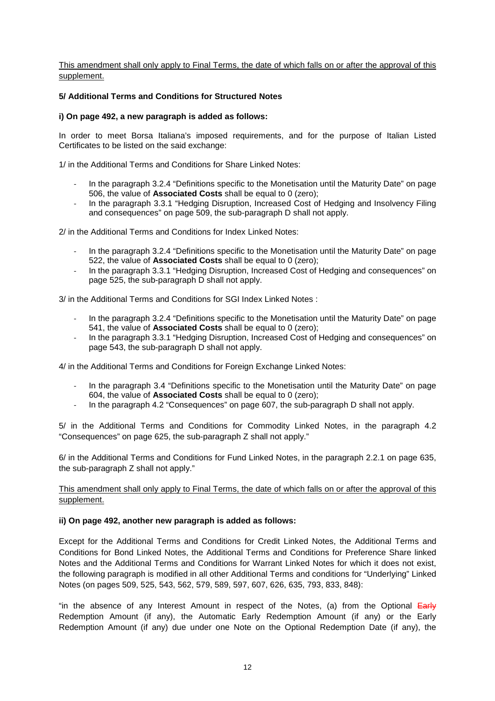This amendment shall only apply to Final Terms, the date of which falls on or after the approval of this supplement.

### **5/ Additional Terms and Conditions for Structured Notes**

### **i) On page 492, a new paragraph is added as follows:**

In order to meet Borsa Italiana's imposed requirements, and for the purpose of Italian Listed Certificates to be listed on the said exchange:

1/ in the Additional Terms and Conditions for Share Linked Notes:

- In the paragraph 3.2.4 "Definitions specific to the Monetisation until the Maturity Date" on page 506, the value of **Associated Costs** shall be equal to 0 (zero);
- In the paragraph 3.3.1 "Hedging Disruption, Increased Cost of Hedging and Insolvency Filing and consequences" on page 509, the sub-paragraph D shall not apply.

2/ in the Additional Terms and Conditions for Index Linked Notes:

- In the paragraph 3.2.4 "Definitions specific to the Monetisation until the Maturity Date" on page 522, the value of **Associated Costs** shall be equal to 0 (zero);
- In the paragraph 3.3.1 "Hedging Disruption, Increased Cost of Hedging and consequences" on page 525, the sub-paragraph D shall not apply.

3/ in the Additional Terms and Conditions for SGI Index Linked Notes :

- In the paragraph 3.2.4 "Definitions specific to the Monetisation until the Maturity Date" on page 541, the value of **Associated Costs** shall be equal to 0 (zero);
- In the paragraph 3.3.1 "Hedging Disruption, Increased Cost of Hedging and consequences" on page 543, the sub-paragraph D shall not apply.

4/ in the Additional Terms and Conditions for Foreign Exchange Linked Notes:

- In the paragraph 3.4 "Definitions specific to the Monetisation until the Maturity Date" on page 604, the value of **Associated Costs** shall be equal to 0 (zero);
- In the paragraph 4.2 "Consequences" on page 607, the sub-paragraph D shall not apply.

5/ in the Additional Terms and Conditions for Commodity Linked Notes, in the paragraph 4.2 "Consequences" on page 625, the sub-paragraph Z shall not apply."

6/ in the Additional Terms and Conditions for Fund Linked Notes, in the paragraph 2.2.1 on page 635, the sub-paragraph Z shall not apply."

### This amendment shall only apply to Final Terms, the date of which falls on or after the approval of this supplement.

### **ii) On page 492, another new paragraph is added as follows:**

Except for the Additional Terms and Conditions for Credit Linked Notes, the Additional Terms and Conditions for Bond Linked Notes, the Additional Terms and Conditions for Preference Share linked Notes and the Additional Terms and Conditions for Warrant Linked Notes for which it does not exist, the following paragraph is modified in all other Additional Terms and conditions for "Underlying" Linked Notes (on pages 509, 525, 543, 562, 579, 589, 597, 607, 626, 635, 793, 833, 848):

"in the absence of any Interest Amount in respect of the Notes, (a) from the Optional  $E\text{arly}$ Redemption Amount (if any), the Automatic Early Redemption Amount (if any) or the Early Redemption Amount (if any) due under one Note on the Optional Redemption Date (if any), the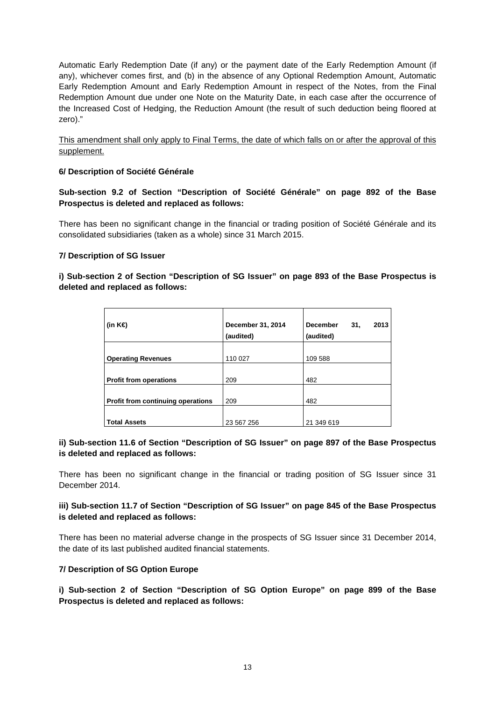Automatic Early Redemption Date (if any) or the payment date of the Early Redemption Amount (if any), whichever comes first, and (b) in the absence of any Optional Redemption Amount, Automatic Early Redemption Amount and Early Redemption Amount in respect of the Notes, from the Final Redemption Amount due under one Note on the Maturity Date, in each case after the occurrence of the Increased Cost of Hedging, the Reduction Amount (the result of such deduction being floored at zero)."

This amendment shall only apply to Final Terms, the date of which falls on or after the approval of this supplement.

### **6/ Description of Société Générale**

**Sub-section 9.2 of Section "Description of Société Générale" on page 892 of the Base Prospectus is deleted and replaced as follows:** 

There has been no significant change in the financial or trading position of Société Générale and its consolidated subsidiaries (taken as a whole) since 31 March 2015.

### **7/ Description of SG Issuer**

### **i) Sub-section 2 of Section "Description of SG Issuer" on page 893 of the Base Prospectus is deleted and replaced as follows:**

| (in K€)                           | December 31, 2014<br>(audited) | <b>December</b><br>31,<br>2013<br>(audited) |
|-----------------------------------|--------------------------------|---------------------------------------------|
|                                   |                                |                                             |
| <b>Operating Revenues</b>         | 110 027                        | 109 588                                     |
|                                   |                                |                                             |
| <b>Profit from operations</b>     | 209                            | 482                                         |
|                                   |                                |                                             |
| Profit from continuing operations | 209                            | 482                                         |
|                                   |                                |                                             |
| <b>Total Assets</b>               | 23 567 256                     | 21 349 619                                  |

### **ii) Sub-section 11.6 of Section "Description of SG Issuer" on page 897 of the Base Prospectus is deleted and replaced as follows:**

There has been no significant change in the financial or trading position of SG Issuer since 31 December 2014.

# **iii) Sub-section 11.7 of Section "Description of SG Issuer" on page 845 of the Base Prospectus is deleted and replaced as follows:**

There has been no material adverse change in the prospects of SG Issuer since 31 December 2014, the date of its last published audited financial statements.

### **7/ Description of SG Option Europe**

**i) Sub-section 2 of Section "Description of SG Option Europe" on page 899 of the Base Prospectus is deleted and replaced as follows:**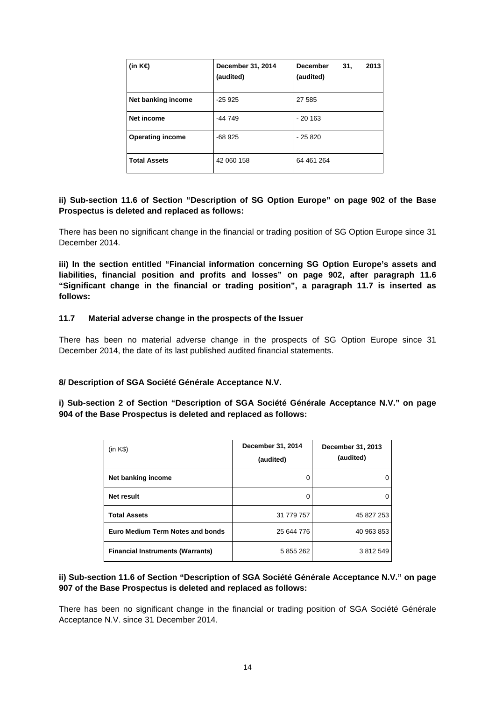| (in K€)                 | December 31, 2014<br>(audited) | <b>December</b><br>2013<br>31,<br>(audited) |
|-------------------------|--------------------------------|---------------------------------------------|
| Net banking income      | $-25925$                       | 27 585                                      |
| Net income              | -44 749                        | $-20.163$                                   |
| <b>Operating income</b> | -68 925                        | $-25820$                                    |
| <b>Total Assets</b>     | 42 060 158                     | 64 461 264                                  |

# **ii) Sub-section 11.6 of Section "Description of SG Option Europe" on page 902 of the Base Prospectus is deleted and replaced as follows:**

There has been no significant change in the financial or trading position of SG Option Europe since 31 December 2014.

**iii) In the section entitled "Financial information concerning SG Option Europe's assets and liabilities, financial position and profits and losses" on page 902, after paragraph 11.6 "Significant change in the financial or trading position", a paragraph 11.7 is inserted as follows:** 

### **11.7 Material adverse change in the prospects of the Issuer**

There has been no material adverse change in the prospects of SG Option Europe since 31 December 2014, the date of its last published audited financial statements.

### **8/ Description of SGA Société Générale Acceptance N.V.**

**i) Sub-section 2 of Section "Description of SGA Société Générale Acceptance N.V." on page 904 of the Base Prospectus is deleted and replaced as follows:** 

| (in K\$)                                | December 31, 2014<br>(audited) | December 31, 2013<br>(audited) |
|-----------------------------------------|--------------------------------|--------------------------------|
| Net banking income                      | O                              | 0                              |
| <b>Net result</b>                       | O                              | 0                              |
| <b>Total Assets</b>                     | 31 779 757                     | 45 827 253                     |
| Euro Medium Term Notes and bonds        | 25 644 776                     | 40 963 853                     |
| <b>Financial Instruments (Warrants)</b> | 5 855 262                      | 3 812 549                      |

# **ii) Sub-section 11.6 of Section "Description of SGA Société Générale Acceptance N.V." on page 907 of the Base Prospectus is deleted and replaced as follows:**

There has been no significant change in the financial or trading position of SGA Société Générale Acceptance N.V. since 31 December 2014.